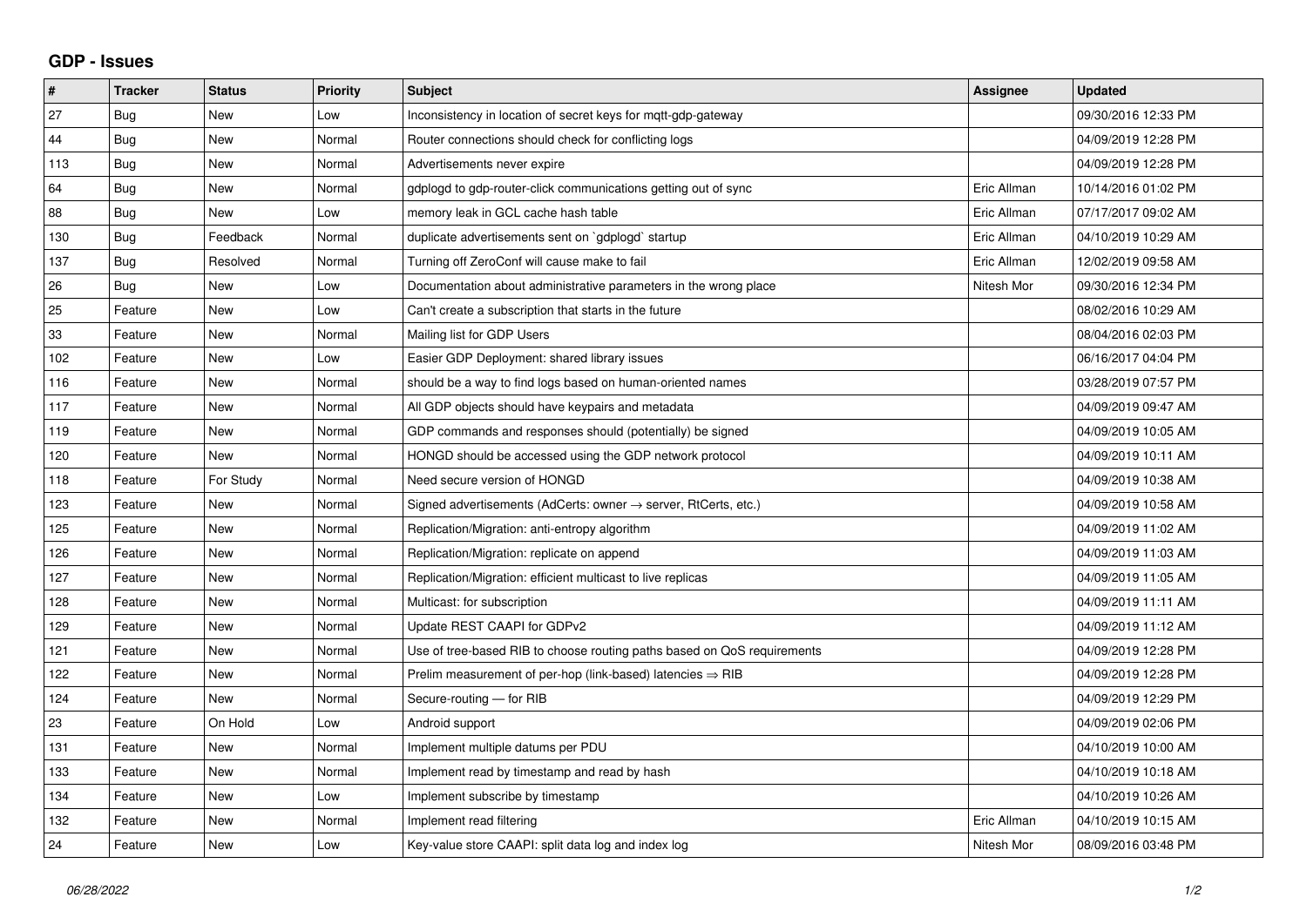## **GDP - Issues**

| #   | <b>Tracker</b> | <b>Status</b> | Priority | <b>Subject</b>                                                             | Assignee    | <b>Updated</b>      |
|-----|----------------|---------------|----------|----------------------------------------------------------------------------|-------------|---------------------|
| 27  | Bug            | <b>New</b>    | Low      | Inconsistency in location of secret keys for mqtt-gdp-gateway              |             | 09/30/2016 12:33 PM |
| 44  | Bug            | <b>New</b>    | Normal   | Router connections should check for conflicting logs                       |             | 04/09/2019 12:28 PM |
| 113 | <b>Bug</b>     | <b>New</b>    | Normal   | Advertisements never expire                                                |             | 04/09/2019 12:28 PM |
| 64  | Bug            | <b>New</b>    | Normal   | gdplogd to gdp-router-click communications getting out of sync             | Eric Allman | 10/14/2016 01:02 PM |
| 88  | Bug            | New           | Low      | memory leak in GCL cache hash table                                        | Eric Allman | 07/17/2017 09:02 AM |
| 130 | Bug            | Feedback      | Normal   | duplicate advertisements sent on `gdplogd` startup                         | Eric Allman | 04/10/2019 10:29 AM |
| 137 | Bug            | Resolved      | Normal   | Turning off ZeroConf will cause make to fail                               | Eric Allman | 12/02/2019 09:58 AM |
| 26  | Bug            | <b>New</b>    | Low      | Documentation about administrative parameters in the wrong place           | Nitesh Mor  | 09/30/2016 12:34 PM |
| 25  | Feature        | <b>New</b>    | Low      | Can't create a subscription that starts in the future                      |             | 08/02/2016 10:29 AM |
| 33  | Feature        | <b>New</b>    | Normal   | Mailing list for GDP Users                                                 |             | 08/04/2016 02:03 PM |
| 102 | Feature        | <b>New</b>    | Low      | Easier GDP Deployment: shared library issues                               |             | 06/16/2017 04:04 PM |
| 116 | Feature        | <b>New</b>    | Normal   | should be a way to find logs based on human-oriented names                 |             | 03/28/2019 07:57 PM |
| 117 | Feature        | <b>New</b>    | Normal   | All GDP objects should have keypairs and metadata                          |             | 04/09/2019 09:47 AM |
| 119 | Feature        | <b>New</b>    | Normal   | GDP commands and responses should (potentially) be signed                  |             | 04/09/2019 10:05 AM |
| 120 | Feature        | New           | Normal   | HONGD should be accessed using the GDP network protocol                    |             | 04/09/2019 10:11 AM |
| 118 | Feature        | For Study     | Normal   | Need secure version of HONGD                                               |             | 04/09/2019 10:38 AM |
| 123 | Feature        | <b>New</b>    | Normal   | Signed advertisements (AdCerts: owner $\rightarrow$ server, RtCerts, etc.) |             | 04/09/2019 10:58 AM |
| 125 | Feature        | New           | Normal   | Replication/Migration: anti-entropy algorithm                              |             | 04/09/2019 11:02 AM |
| 126 | Feature        | <b>New</b>    | Normal   | Replication/Migration: replicate on append                                 |             | 04/09/2019 11:03 AM |
| 127 | Feature        | <b>New</b>    | Normal   | Replication/Migration: efficient multicast to live replicas                |             | 04/09/2019 11:05 AM |
| 128 | Feature        | <b>New</b>    | Normal   | Multicast: for subscription                                                |             | 04/09/2019 11:11 AM |
| 129 | Feature        | <b>New</b>    | Normal   | Update REST CAAPI for GDPv2                                                |             | 04/09/2019 11:12 AM |
| 121 | Feature        | New           | Normal   | Use of tree-based RIB to choose routing paths based on QoS requirements    |             | 04/09/2019 12:28 PM |
| 122 | Feature        | New           | Normal   | Prelim measurement of per-hop (link-based) latencies $\Rightarrow$ RIB     |             | 04/09/2019 12:28 PM |
| 124 | Feature        | <b>New</b>    | Normal   | Secure-routing - for RIB                                                   |             | 04/09/2019 12:29 PM |
| 23  | Feature        | On Hold       | Low      | Android support                                                            |             | 04/09/2019 02:06 PM |
| 131 | Feature        | <b>New</b>    | Normal   | Implement multiple datums per PDU                                          |             | 04/10/2019 10:00 AM |
| 133 | Feature        | <b>New</b>    | Normal   | Implement read by timestamp and read by hash                               |             | 04/10/2019 10:18 AM |
| 134 | Feature        | <b>New</b>    | Low      | Implement subscribe by timestamp                                           |             | 04/10/2019 10:26 AM |
| 132 | Feature        | <b>New</b>    | Normal   | Implement read filtering                                                   | Eric Allman | 04/10/2019 10:15 AM |
| 24  | Feature        | New           | Low      | Key-value store CAAPI: split data log and index log                        | Nitesh Mor  | 08/09/2016 03:48 PM |